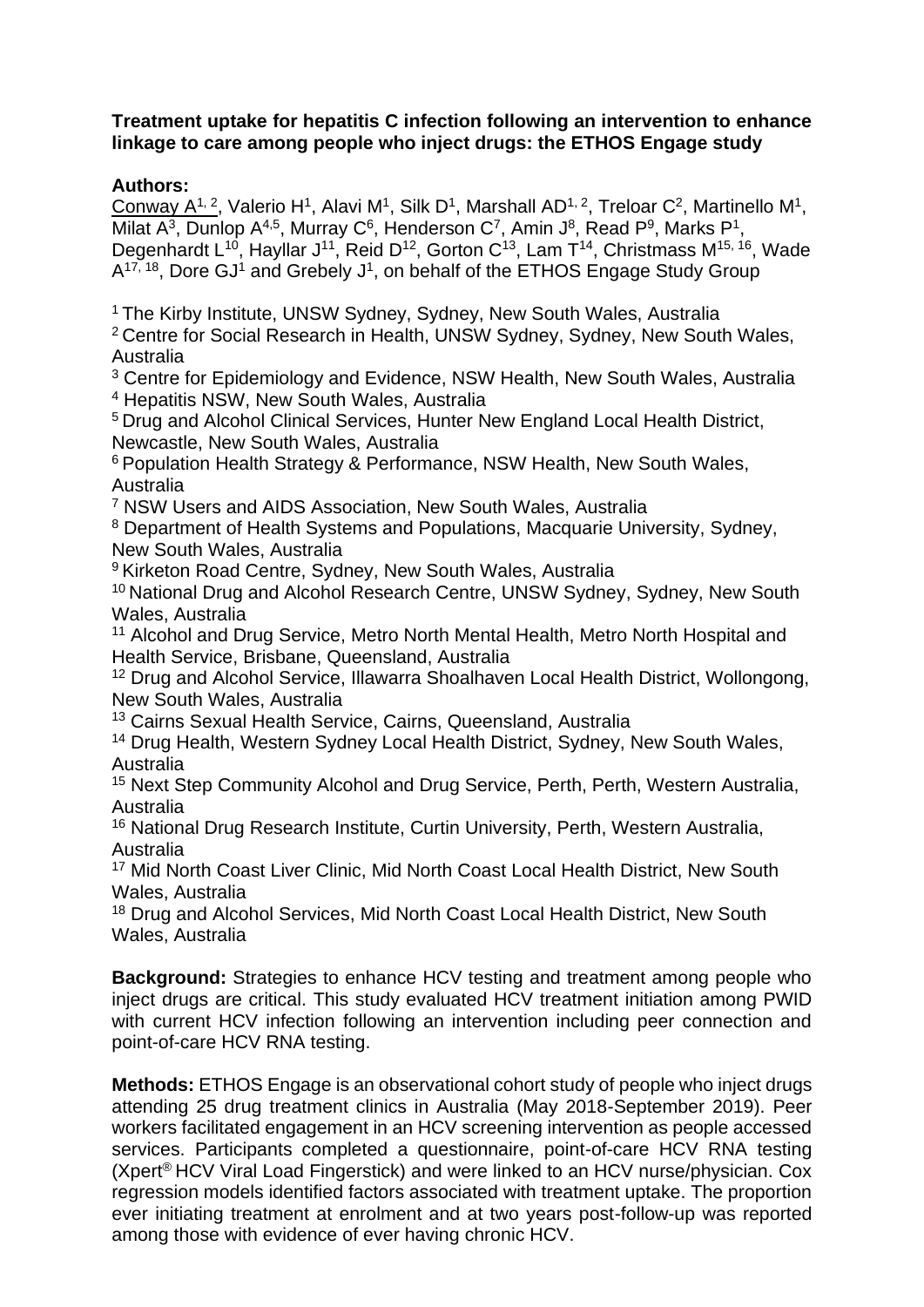## **Treatment uptake for hepatitis C infection following an intervention to enhance linkage to care among people who inject drugs: the ETHOS Engage study**

## **Authors:**

Conway A<sup>1, 2</sup>, Valerio H<sup>1</sup>, Alavi M<sup>1</sup>, Silk D<sup>1</sup>, Marshall AD<sup>1, 2</sup>, Treloar C<sup>2</sup>, Martinello M<sup>1</sup>, Milat A<sup>3</sup>, Dunlop A<sup>4,5</sup>, Murray C<sup>6</sup>, Henderson C<sup>7</sup>, Amin J<sup>8</sup>, Read P<sup>9</sup>, Marks P<sup>1</sup>, Degenhardt L<sup>10</sup>, Hayllar J<sup>11</sup>, Reid D<sup>12</sup>, Gorton C<sup>13</sup>, Lam T<sup>14</sup>, Christmass M<sup>15, 16</sup>, Wade A<sup>17, 18</sup>, Dore GJ<sup>1</sup> and Grebely J<sup>1</sup>, on behalf of the ETHOS Engage Study Group

<sup>1</sup> The Kirby Institute, UNSW Sydney, Sydney, New South Wales, Australia

<sup>2</sup> Centre for Social Research in Health, UNSW Sydney, Sydney, New South Wales, Australia

<sup>3</sup> Centre for Epidemiology and Evidence, NSW Health, New South Wales, Australia <sup>4</sup> Hepatitis NSW, New South Wales, Australia

<sup>5</sup> Drug and Alcohol Clinical Services, Hunter New England Local Health District, Newcastle, New South Wales, Australia

<sup>6</sup> Population Health Strategy & Performance, NSW Health, New South Wales, Australia

<sup>7</sup> NSW Users and AIDS Association, New South Wales, Australia

<sup>8</sup> Department of Health Systems and Populations, Macquarie University, Sydney, New South Wales, Australia

<sup>9</sup> Kirketon Road Centre, Sydney, New South Wales, Australia

<sup>10</sup> National Drug and Alcohol Research Centre, UNSW Sydney, Sydney, New South Wales, Australia

<sup>11</sup> Alcohol and Drug Service, Metro North Mental Health, Metro North Hospital and Health Service, Brisbane, Queensland, Australia

<sup>12</sup> Drug and Alcohol Service, Illawarra Shoalhaven Local Health District, Wollongong, New South Wales, Australia

<sup>13</sup> Cairns Sexual Health Service, Cairns, Queensland, Australia

<sup>14</sup> Drug Health, Western Sydney Local Health District, Sydney, New South Wales, Australia

<sup>15</sup> Next Step Community Alcohol and Drug Service, Perth, Perth, Western Australia, Australia

<sup>16</sup> National Drug Research Institute, Curtin University, Perth, Western Australia, Australia

<sup>17</sup> Mid North Coast Liver Clinic, Mid North Coast Local Health District, New South Wales, Australia

<sup>18</sup> Drug and Alcohol Services, Mid North Coast Local Health District, New South Wales, Australia

**Background:** Strategies to enhance HCV testing and treatment among people who inject drugs are critical. This study evaluated HCV treatment initiation among PWID with current HCV infection following an intervention including peer connection and point-of-care HCV RNA testing.

**Methods:** ETHOS Engage is an observational cohort study of people who inject drugs attending 25 drug treatment clinics in Australia (May 2018-September 2019). Peer workers facilitated engagement in an HCV screening intervention as people accessed services. Participants completed a questionnaire, point-of-care HCV RNA testing (Xpert® HCV Viral Load Fingerstick) and were linked to an HCV nurse/physician. Cox regression models identified factors associated with treatment uptake. The proportion ever initiating treatment at enrolment and at two years post-follow-up was reported among those with evidence of ever having chronic HCV.